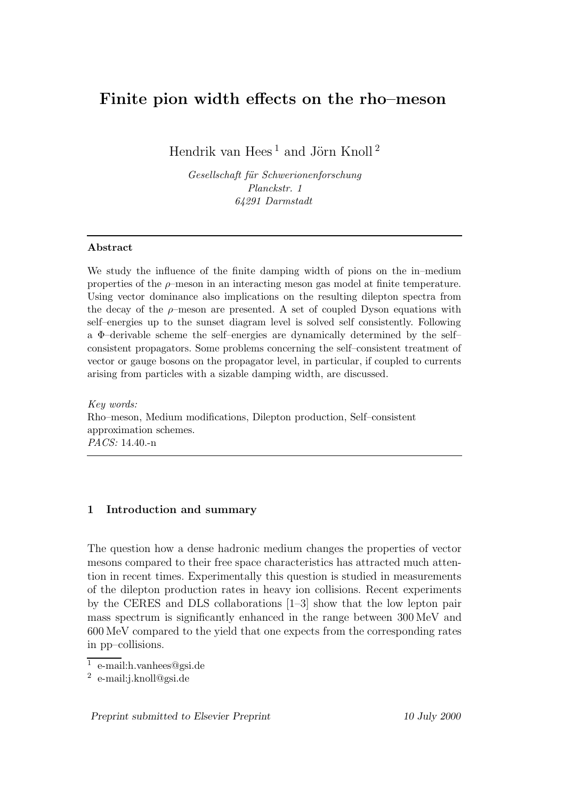# Finite pion width effects on the rho–meson

Hendrik van Hees $^1$  and Jörn Knoll $^2$ 

Gesellschaft für Schwerionenforschung Planckstr. 1 64291 Darmstadt

### Abstract

We study the influence of the finite damping width of pions on the in–medium properties of the  $\rho$ -meson in an interacting meson gas model at finite temperature. Using vector dominance also implications on the resulting dilepton spectra from the decay of the  $\rho$ -meson are presented. A set of coupled Dyson equations with self–energies up to the sunset diagram level is solved self consistently. Following a Φ–derivable scheme the self–energies are dynamically determined by the self– consistent propagators. Some problems concerning the self–consistent treatment of vector or gauge bosons on the propagator level, in particular, if coupled to currents arising from particles with a sizable damping width, are discussed.

Key words: Rho–meson, Medium modifications, Dilepton production, Self–consistent approximation schemes. PACS: 14.40.-n

# 1 Introduction and summary

The question how a dense hadronic medium changes the properties of vector mesons compared to their free space characteristics has attracted much attention in recent times. Experimentally this question is studied in measurements of the dilepton production rates in heavy ion collisions. Recent experiments by the CERES and DLS collaborations [1–3] show that the low lepton pair mass spectrum is significantly enhanced in the range between 300 MeV and 600 MeV compared to the yield that one expects from the corresponding rates in pp–collisions.

<sup>1</sup> e-mail:h.vanhees@gsi.de

<sup>2</sup> e-mail:j.knoll@gsi.de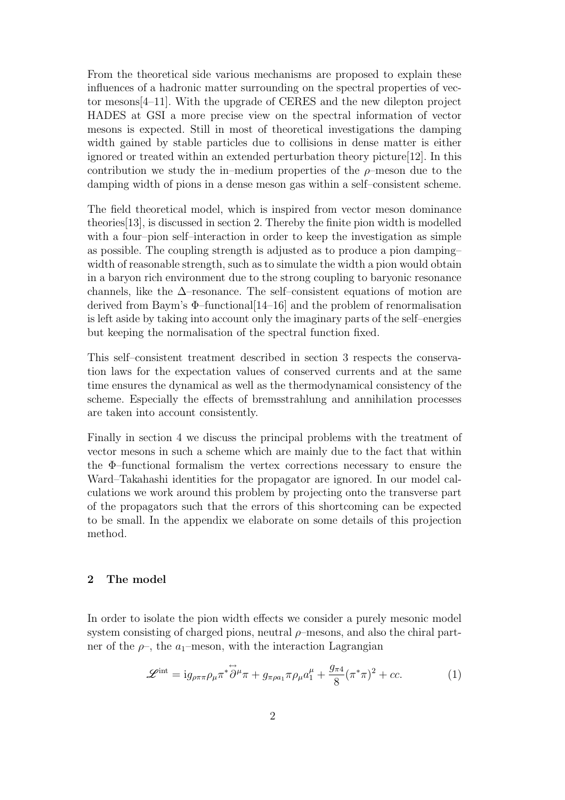From the theoretical side various mechanisms are proposed to explain these influences of a hadronic matter surrounding on the spectral properties of vector mesons[4–11]. With the upgrade of CERES and the new dilepton project HADES at GSI a more precise view on the spectral information of vector mesons is expected. Still in most of theoretical investigations the damping width gained by stable particles due to collisions in dense matter is either ignored or treated within an extended perturbation theory picture[12]. In this contribution we study the in–medium properties of the  $\rho$ –meson due to the damping width of pions in a dense meson gas within a self–consistent scheme.

The field theoretical model, which is inspired from vector meson dominance theories[13], is discussed in section 2. Thereby the finite pion width is modelled with a four–pion self–interaction in order to keep the investigation as simple as possible. The coupling strength is adjusted as to produce a pion damping– width of reasonable strength, such as to simulate the width a pion would obtain in a baryon rich environment due to the strong coupling to baryonic resonance channels, like the  $\Delta$ –resonance. The self–consistent equations of motion are derived from Baym's  $\Phi$ -functional [14–16] and the problem of renormalisation is left aside by taking into account only the imaginary parts of the self–energies but keeping the normalisation of the spectral function fixed.

This self–consistent treatment described in section 3 respects the conservation laws for the expectation values of conserved currents and at the same time ensures the dynamical as well as the thermodynamical consistency of the scheme. Especially the effects of bremsstrahlung and annihilation processes are taken into account consistently.

Finally in section 4 we discuss the principal problems with the treatment of vector mesons in such a scheme which are mainly due to the fact that within the Φ–functional formalism the vertex corrections necessary to ensure the Ward–Takahashi identities for the propagator are ignored. In our model calculations we work around this problem by projecting onto the transverse part of the propagators such that the errors of this shortcoming can be expected to be small. In the appendix we elaborate on some details of this projection method.

# 2 The model

In order to isolate the pion width effects we consider a purely mesonic model system consisting of charged pions, neutral  $\rho$ –mesons, and also the chiral partner of the  $\rho$ , the  $a_1$ –meson, with the interaction Lagrangian

$$
\mathscr{L}^{\text{int}} = i g_{\rho\pi\pi} \rho_{\mu} \pi^* \overleftrightarrow{\partial}^{\mu} \pi + g_{\pi\rho a_1} \pi \rho_{\mu} a_1^{\mu} + \frac{g_{\pi 4}}{8} (\pi^* \pi)^2 + cc.
$$
 (1)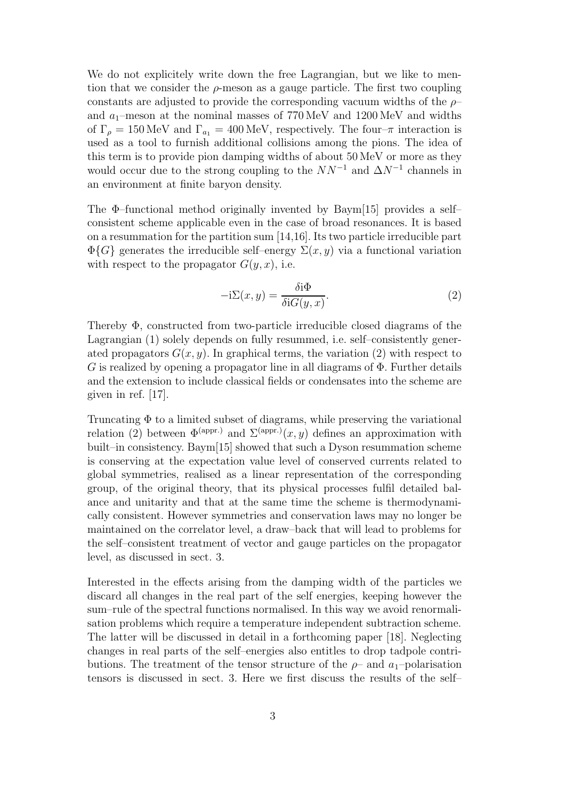We do not explicitely write down the free Lagrangian, but we like to mention that we consider the  $\rho$ -meson as a gauge particle. The first two coupling constants are adjusted to provide the corresponding vacuum widths of the  $\rho$ and  $a_1$ –meson at the nominal masses of 770 MeV and 1200 MeV and widths of  $\Gamma_{\rho} = 150 \,\text{MeV}$  and  $\Gamma_{a_1} = 400 \,\text{MeV}$ , respectively. The four- $\pi$  interaction is used as a tool to furnish additional collisions among the pions. The idea of this term is to provide pion damping widths of about 50 MeV or more as they would occur due to the strong coupling to the  $NN^{-1}$  and  $\Delta N^{-1}$  channels in an environment at finite baryon density.

The  $\Phi$ -functional method originally invented by Baym[15] provides a selfconsistent scheme applicable even in the case of broad resonances. It is based on a resummation for the partition sum [14,16]. Its two particle irreducible part  $\Phi\{G\}$  generates the irreducible self-energy  $\Sigma(x, y)$  via a functional variation with respect to the propagator  $G(y, x)$ , i.e.

$$
-i\Sigma(x,y) = \frac{\delta i\Phi}{\delta i G(y,x)}.
$$
\n(2)

Thereby Φ, constructed from two-particle irreducible closed diagrams of the Lagrangian (1) solely depends on fully resummed, i.e. self–consistently generated propagators  $G(x, y)$ . In graphical terms, the variation (2) with respect to G is realized by opening a propagator line in all diagrams of  $\Phi$ . Further details and the extension to include classical fields or condensates into the scheme are given in ref. [17].

Truncating Φ to a limited subset of diagrams, while preserving the variational relation (2) between  $\Phi^{\text{(appr.)}}$  and  $\Sigma^{\text{(appr.)}}(x, y)$  defines an approximation with built–in consistency. Baym[15] showed that such a Dyson resummation scheme is conserving at the expectation value level of conserved currents related to global symmetries, realised as a linear representation of the corresponding group, of the original theory, that its physical processes fulfil detailed balance and unitarity and that at the same time the scheme is thermodynamically consistent. However symmetries and conservation laws may no longer be maintained on the correlator level, a draw–back that will lead to problems for the self–consistent treatment of vector and gauge particles on the propagator level, as discussed in sect. 3.

Interested in the effects arising from the damping width of the particles we discard all changes in the real part of the self energies, keeping however the sum–rule of the spectral functions normalised. In this way we avoid renormalisation problems which require a temperature independent subtraction scheme. The latter will be discussed in detail in a forthcoming paper [18]. Neglecting changes in real parts of the self–energies also entitles to drop tadpole contributions. The treatment of the tensor structure of the  $\rho$ – and  $a_1$ –polarisation tensors is discussed in sect. 3. Here we first discuss the results of the self–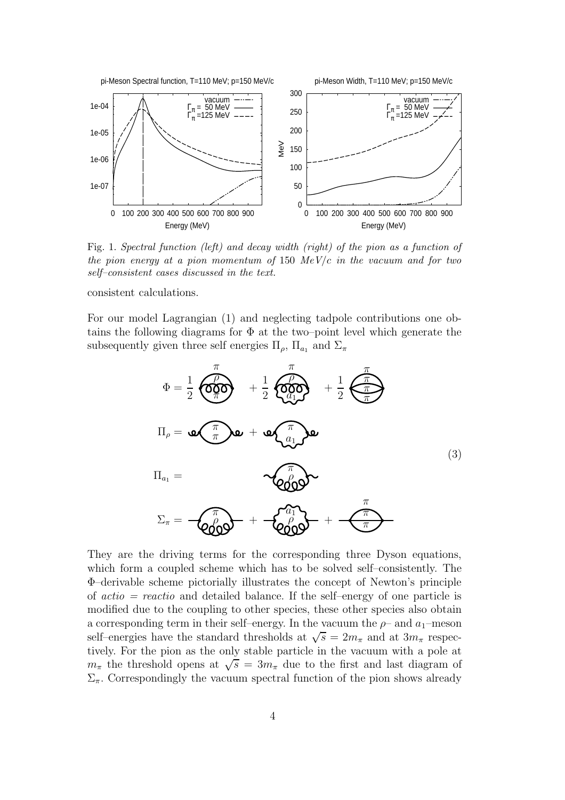

Fig. 1. Spectral function (left) and decay width (right) of the pion as a function of the pion energy at a pion momentum of 150  $MeV/c$  in the vacuum and for two self–consistent cases discussed in the text.

consistent calculations.

For our model Lagrangian (1) and neglecting tadpole contributions one obtains the following diagrams for  $\Phi$  at the two–point level which generate the subsequently given three self energies  $\Pi_{\rho}$ ,  $\Pi_{a_1}$  and  $\Sigma_{\pi}$ 



They are the driving terms for the corresponding three Dyson equations, which form a coupled scheme which has to be solved self–consistently. The Φ–derivable scheme pictorially illustrates the concept of Newton's principle of  $actio = reactio$  and detailed balance. If the self-energy of one particle is modified due to the coupling to other species, these other species also obtain a corresponding term in their self–energy. In the vacuum the  $\rho$ – and  $a_1$ –meson self–energies have the standard thresholds at  $\sqrt{s} = 2m_{\pi}$  and at  $3m_{\pi}$  respectively. For the pion as the only stable particle in the vacuum with a pole at  $m_{\pi}$  the threshold opens at  $\sqrt{s} = 3m_{\pi}$  due to the first and last diagram of  $\Sigma_{\pi}$ . Correspondingly the vacuum spectral function of the pion shows already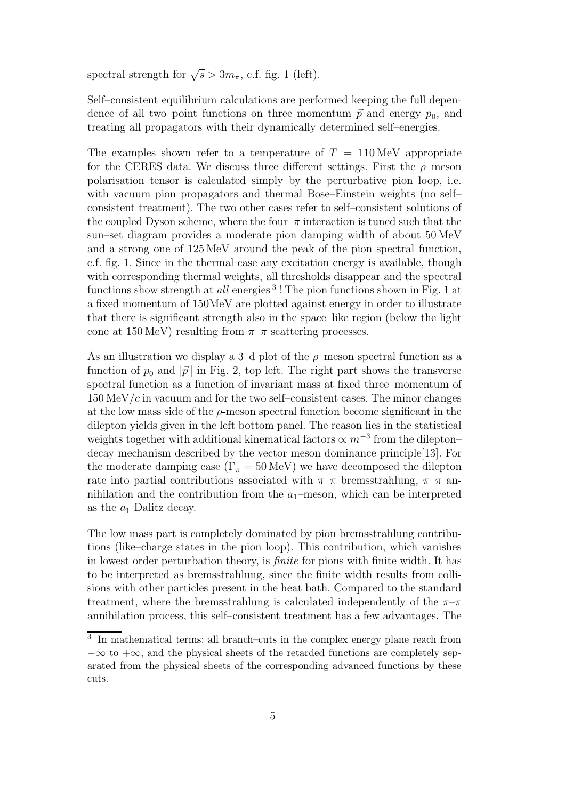spectral strength for  $\sqrt{s} > 3m_{\pi}$ , c.f. fig. 1 (left).

Self–consistent equilibrium calculations are performed keeping the full dependence of all two–point functions on three momentum  $\vec{p}$  and energy  $p_0$ , and treating all propagators with their dynamically determined self–energies.

The examples shown refer to a temperature of  $T = 110 \,\text{MeV}$  appropriate for the CERES data. We discuss three different settings. First the  $\rho$ -meson polarisation tensor is calculated simply by the perturbative pion loop, i.e. with vacuum pion propagators and thermal Bose–Einstein weights (no self– consistent treatment). The two other cases refer to self–consistent solutions of the coupled Dyson scheme, where the four- $\pi$  interaction is tuned such that the sun–set diagram provides a moderate pion damping width of about 50 MeV and a strong one of 125 MeV around the peak of the pion spectral function, c.f. fig. 1. Since in the thermal case any excitation energy is available, though with corresponding thermal weights, all thresholds disappear and the spectral functions show strength at *all* energies<sup>3</sup>! The pion functions shown in Fig. 1 at a fixed momentum of 150MeV are plotted against energy in order to illustrate that there is significant strength also in the space–like region (below the light cone at  $150 \,\text{MeV}$ ) resulting from  $\pi-\pi$  scattering processes.

As an illustration we display a 3–d plot of the  $\rho$ –meson spectral function as a function of  $p_0$  and  $|\vec{p}|$  in Fig. 2, top left. The right part shows the transverse spectral function as a function of invariant mass at fixed three–momentum of  $150 \,\mathrm{MeV}/c$  in vacuum and for the two self–consistent cases. The minor changes at the low mass side of the  $\rho$ -meson spectral function become significant in the dilepton yields given in the left bottom panel. The reason lies in the statistical weights together with additional kinematical factors  $\propto m^{-3}$  from the dilepton– decay mechanism described by the vector meson dominance principle[13]. For the moderate damping case  $(\Gamma_{\pi} = 50 \,\text{MeV})$  we have decomposed the dilepton rate into partial contributions associated with  $\pi-\pi$  bremsstrahlung,  $\pi-\pi$  annihilation and the contribution from the  $a_1$ –meson, which can be interpreted as the  $a_1$  Dalitz decay.

The low mass part is completely dominated by pion bremsstrahlung contributions (like–charge states in the pion loop). This contribution, which vanishes in lowest order perturbation theory, is *finite* for pions with finite width. It has to be interpreted as bremsstrahlung, since the finite width results from collisions with other particles present in the heat bath. Compared to the standard treatment, where the bremsstrahlung is calculated independently of the  $\pi-\pi$ annihilation process, this self–consistent treatment has a few advantages. The

<sup>&</sup>lt;sup>3</sup> In mathematical terms: all branch–cuts in the complex energy plane reach from  $-\infty$  to  $+\infty$ , and the physical sheets of the retarded functions are completely separated from the physical sheets of the corresponding advanced functions by these cuts.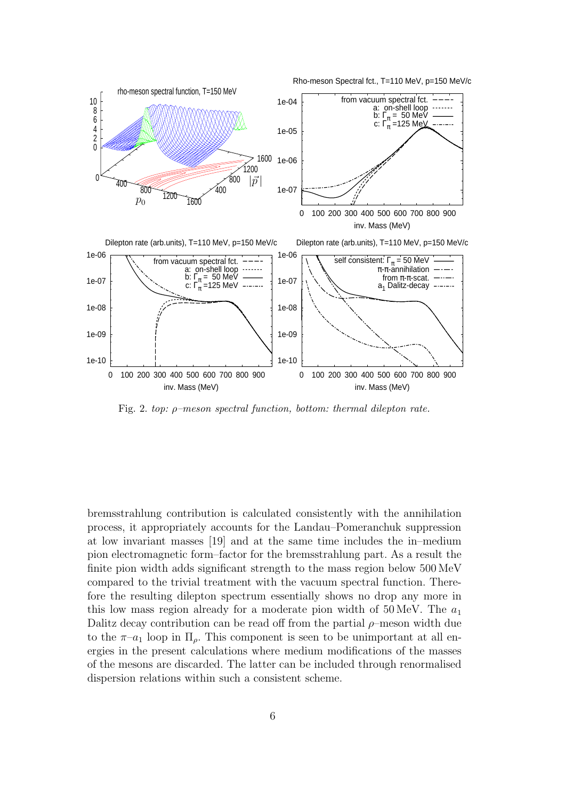

Fig. 2. top: ρ–meson spectral function, bottom: thermal dilepton rate.

bremsstrahlung contribution is calculated consistently with the annihilation process, it appropriately accounts for the Landau–Pomeranchuk suppression at low invariant masses [19] and at the same time includes the in–medium pion electromagnetic form–factor for the bremsstrahlung part. As a result the finite pion width adds significant strength to the mass region below 500 MeV compared to the trivial treatment with the vacuum spectral function. Therefore the resulting dilepton spectrum essentially shows no drop any more in this low mass region already for a moderate pion width of 50 MeV. The  $a_1$ Dalitz decay contribution can be read off from the partial  $\rho$ -meson width due to the  $\pi$ -a<sub>1</sub> loop in  $\Pi_{\rho}$ . This component is seen to be unimportant at all energies in the present calculations where medium modifications of the masses of the mesons are discarded. The latter can be included through renormalised dispersion relations within such a consistent scheme.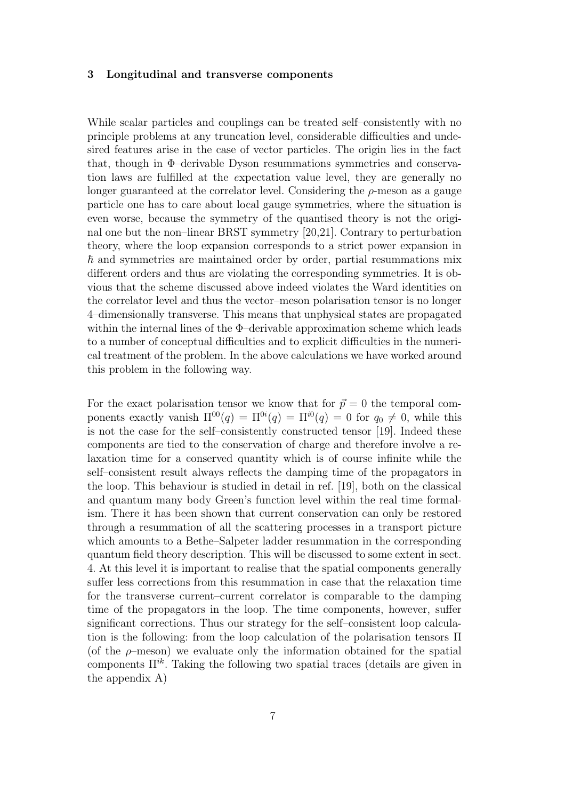#### 3 Longitudinal and transverse components

While scalar particles and couplings can be treated self–consistently with no principle problems at any truncation level, considerable difficulties and undesired features arise in the case of vector particles. The origin lies in the fact that, though in Φ–derivable Dyson resummations symmetries and conservation laws are fulfilled at the expectation value level, they are generally no longer guaranteed at the correlator level. Considering the  $\rho$ -meson as a gauge particle one has to care about local gauge symmetries, where the situation is even worse, because the symmetry of the quantised theory is not the original one but the non–linear BRST symmetry [20,21]. Contrary to perturbation theory, where the loop expansion corresponds to a strict power expansion in  $\hbar$  and symmetries are maintained order by order, partial resummations mix different orders and thus are violating the corresponding symmetries. It is obvious that the scheme discussed above indeed violates the Ward identities on the correlator level and thus the vector–meson polarisation tensor is no longer 4–dimensionally transverse. This means that unphysical states are propagated within the internal lines of the Φ–derivable approximation scheme which leads to a number of conceptual difficulties and to explicit difficulties in the numerical treatment of the problem. In the above calculations we have worked around this problem in the following way.

For the exact polarisation tensor we know that for  $\vec{p} = 0$  the temporal components exactly vanish  $\Pi^{00}(q) = \Pi^{0i}(q) = \Pi^{i0}(q) = 0$  for  $q_0 \neq 0$ , while this is not the case for the self–consistently constructed tensor [19]. Indeed these components are tied to the conservation of charge and therefore involve a relaxation time for a conserved quantity which is of course infinite while the self–consistent result always reflects the damping time of the propagators in the loop. This behaviour is studied in detail in ref. [19], both on the classical and quantum many body Green's function level within the real time formalism. There it has been shown that current conservation can only be restored through a resummation of all the scattering processes in a transport picture which amounts to a Bethe–Salpeter ladder resummation in the corresponding quantum field theory description. This will be discussed to some extent in sect. 4. At this level it is important to realise that the spatial components generally suffer less corrections from this resummation in case that the relaxation time for the transverse current–current correlator is comparable to the damping time of the propagators in the loop. The time components, however, suffer significant corrections. Thus our strategy for the self–consistent loop calculation is the following: from the loop calculation of the polarisation tensors Π (of the  $\rho$ -meson) we evaluate only the information obtained for the spatial components  $\Pi^{ik}$ . Taking the following two spatial traces (details are given in the appendix A)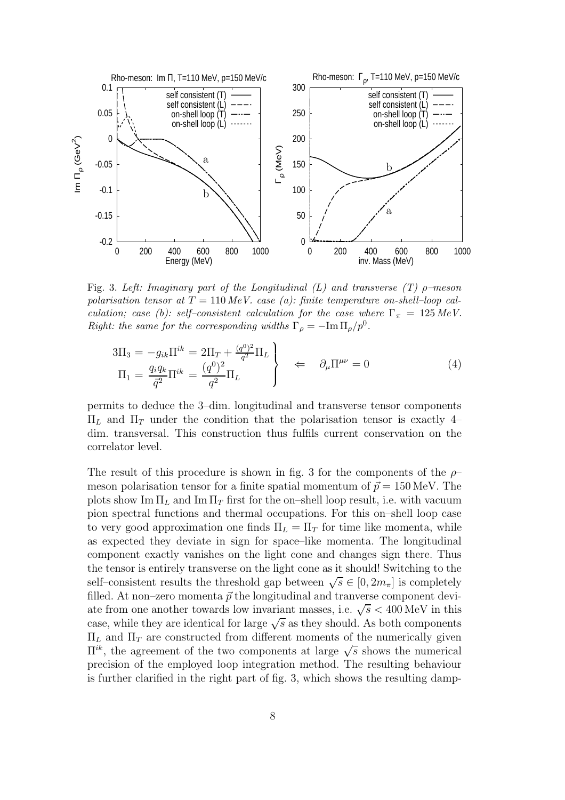

Fig. 3. Left: Imaginary part of the Longitudinal (L) and transverse (T)  $\rho$ -meson polarisation tensor at  $T = 110 \text{ MeV}$ . case (a): finite temperature on-shell-loop calculation; case (b): self-consistent calculation for the case where  $\Gamma_{\pi} = 125 \text{ MeV}$ . Right: the same for the corresponding widths  $\Gamma_{\rho} = -\text{Im}\,\Pi_{\rho}/p^0$ .

$$
3\Pi_3 = -g_{ik}\Pi^{ik} = 2\Pi_T + \frac{(q^0)^2}{q^2}\Pi_L
$$
  
\n
$$
\Pi_1 = \frac{q_i q_k}{\bar{q}^2}\Pi^{ik} = \frac{(q^0)^2}{q^2}\Pi_L
$$
  
\n
$$
\left.\begin{array}{ccc}\n\downarrow & \hat{\partial}_\mu \Pi^{\mu\nu} = 0 \\
\downarrow & \hat{\partial}_\mu \Pi^{\mu\nu} = 0\n\end{array}\right\}
$$
\n(4)

permits to deduce the 3–dim. longitudinal and transverse tensor components  $\Pi_L$  and  $\Pi_T$  under the condition that the polarisation tensor is exactly 4– dim. transversal. This construction thus fulfils current conservation on the correlator level.

The result of this procedure is shown in fig. 3 for the components of the  $\rho$ meson polarisation tensor for a finite spatial momentum of  $\vec{p} = 150 \,\text{MeV}$ . The plots show Im  $\Pi_L$  and Im  $\Pi_T$  first for the on–shell loop result, i.e. with vacuum pion spectral functions and thermal occupations. For this on–shell loop case to very good approximation one finds  $\Pi_L = \Pi_T$  for time like momenta, while as expected they deviate in sign for space–like momenta. The longitudinal component exactly vanishes on the light cone and changes sign there. Thus the tensor is entirely transverse on the light cone as it should! Switching to the self–consistent results the threshold gap between  $\sqrt{s} \in [0, 2m_{\pi}]$  is completely filled. At non–zero momenta  $\vec{p}$  the longitudinal and tranverse component deviate from one another towards low invariant masses, i.e.  $\sqrt{s}$  < 400 MeV in this case, while they are identical for large  $\sqrt{s}$  as they should. As both components  $\Pi_L$  and  $\Pi_T$  are constructed from different moments of the numerically given  $\Pi^{ik}$ , the agreement of the two components at large  $\sqrt{s}$  shows the numerical precision of the employed loop integration method. The resulting behaviour is further clarified in the right part of fig. 3, which shows the resulting damp-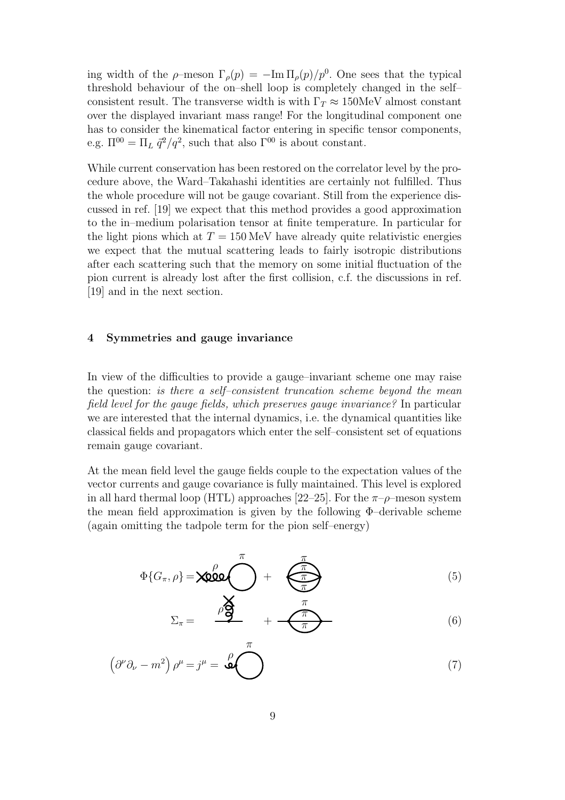ing width of the  $\rho$ -meson  $\Gamma_{\rho}(p) = -\text{Im}\,\Pi_{\rho}(p)/p^0$ . One sees that the typical threshold behaviour of the on–shell loop is completely changed in the self– consistent result. The transverse width is with  $\Gamma_T \approx 150$  MeV almost constant over the displayed invariant mass range! For the longitudinal component one has to consider the kinematical factor entering in specific tensor components, e.g.  $\Pi^{00} = \Pi_L \, \bar{q}^2 / q^2$ , such that also  $\Gamma^{00}$  is about constant.

While current conservation has been restored on the correlator level by the procedure above, the Ward–Takahashi identities are certainly not fulfilled. Thus the whole procedure will not be gauge covariant. Still from the experience discussed in ref. [19] we expect that this method provides a good approximation to the in–medium polarisation tensor at finite temperature. In particular for the light pions which at  $T = 150 \,\text{MeV}$  have already quite relativistic energies we expect that the mutual scattering leads to fairly isotropic distributions after each scattering such that the memory on some initial fluctuation of the pion current is already lost after the first collision, c.f. the discussions in ref. [19] and in the next section.

### 4 Symmetries and gauge invariance

In view of the difficulties to provide a gauge–invariant scheme one may raise the question: is there a self–consistent truncation scheme beyond the mean field level for the gauge fields, which preserves gauge invariance? In particular we are interested that the internal dynamics, i.e. the dynamical quantities like classical fields and propagators which enter the self–consistent set of equations remain gauge covariant.

At the mean field level the gauge fields couple to the expectation values of the vector currents and gauge covariance is fully maintained. This level is explored in all hard thermal loop (HTL) approaches [22–25]. For the  $\pi$ - $\rho$ -meson system the mean field approximation is given by the following Φ–derivable scheme (again omitting the tadpole term for the pion self–energy)

$$
\Phi\{G_{\pi}, \rho\} = \text{X000} \left( \begin{array}{cc} \pi \\ \pi \end{array} \right) + \left( \begin{array}{cc} \pi \\ \pi \\ \pi \end{array} \right) \qquad (5)
$$

$$
\Sigma_{\pi} = \frac{\rho \mathbf{S}}{\tau} + \frac{\pi}{\tau} \tag{6}
$$

$$
\left(\partial^{\nu}\partial_{\nu} - m^2\right)\rho^{\mu} = j^{\mu} = \overset{\rho}{\bigodot} \tag{7}
$$

π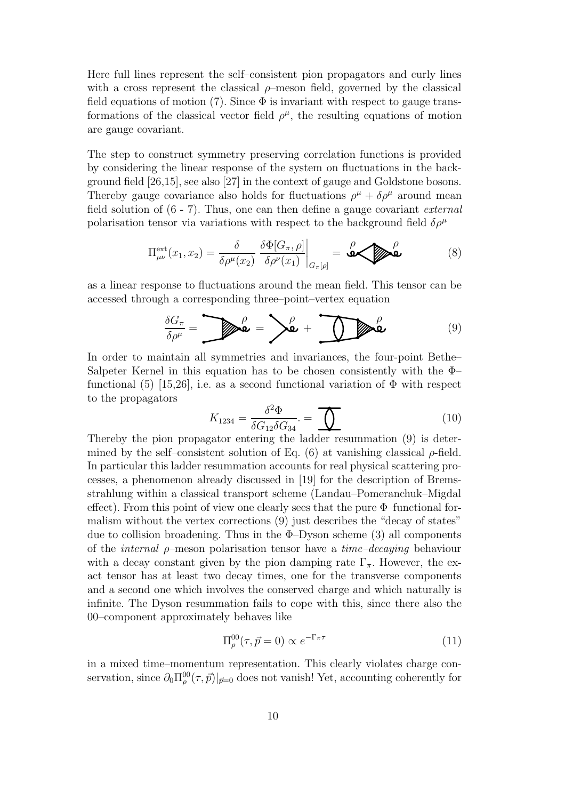Here full lines represent the self–consistent pion propagators and curly lines with a cross represent the classical  $\rho$ -meson field, governed by the classical field equations of motion (7). Since  $\Phi$  is invariant with respect to gauge transformations of the classical vector field  $\rho^{\mu}$ , the resulting equations of motion are gauge covariant.

The step to construct symmetry preserving correlation functions is provided by considering the linear response of the system on fluctuations in the background field [26,15], see also [27] in the context of gauge and Goldstone bosons. Thereby gauge covariance also holds for fluctuations  $\rho^{\mu} + \delta \rho^{\mu}$  around mean field solution of  $(6 - 7)$ . Thus, one can then define a gauge covariant *external* polarisation tensor via variations with respect to the background field  $\delta \rho^{\mu}$ 

$$
\Pi_{\mu\nu}^{\text{ext}}(x_1, x_2) = \frac{\delta}{\delta \rho^{\mu}(x_2)} \left. \frac{\delta \Phi[G_{\pi}, \rho]}{\delta \rho^{\nu}(x_1)} \right|_{G_{\pi}[\rho]} = \text{Gov}_{\text{L}}^{\rho} \tag{8}
$$

as a linear response to fluctuations around the mean field. This tensor can be accessed through a corresponding three–point–vertex equation

$$
\frac{\delta G_{\pi}}{\delta \rho^{\mu}} = \sum \mathbf{Q} \mathbf{Q} = \sum \mathbf{Q} + \sum \mathbf{Q} \mathbf{Q} \tag{9}
$$

In order to maintain all symmetries and invariances, the four-point Bethe– Salpeter Kernel in this equation has to be chosen consistently with the Φ– functional (5) [15,26], i.e. as a second functional variation of  $\Phi$  with respect to the propagators

$$
K_{1234} = \frac{\delta^2 \Phi}{\delta G_{12} \delta G_{34}} = \bigoplus \tag{10}
$$

Thereby the pion propagator entering the ladder resummation (9) is determined by the self-consistent solution of Eq. (6) at vanishing classical  $\rho$ -field. In particular this ladder resummation accounts for real physical scattering processes, a phenomenon already discussed in [19] for the description of Bremsstrahlung within a classical transport scheme (Landau–Pomeranchuk–Migdal effect). From this point of view one clearly sees that the pure Φ–functional formalism without the vertex corrections (9) just describes the "decay of states" due to collision broadening. Thus in the  $\Phi$ -Dyson scheme (3) all components of the *internal*  $\rho$ -meson polarisation tensor have a *time-decaying* behaviour with a decay constant given by the pion damping rate  $\Gamma_{\pi}$ . However, the exact tensor has at least two decay times, one for the transverse components and a second one which involves the conserved charge and which naturally is infinite. The Dyson resummation fails to cope with this, since there also the 00–component approximately behaves like

$$
\Pi_{\rho}^{00}(\tau,\vec{p}=0) \propto e^{-\Gamma_{\pi}\tau}
$$
\n(11)

in a mixed time–momentum representation. This clearly violates charge conservation, since  $\partial_0 \Pi_{\rho}^{00}(\tau, \vec{p})|_{\vec{p}=0}$  does not vanish! Yet, accounting coherently for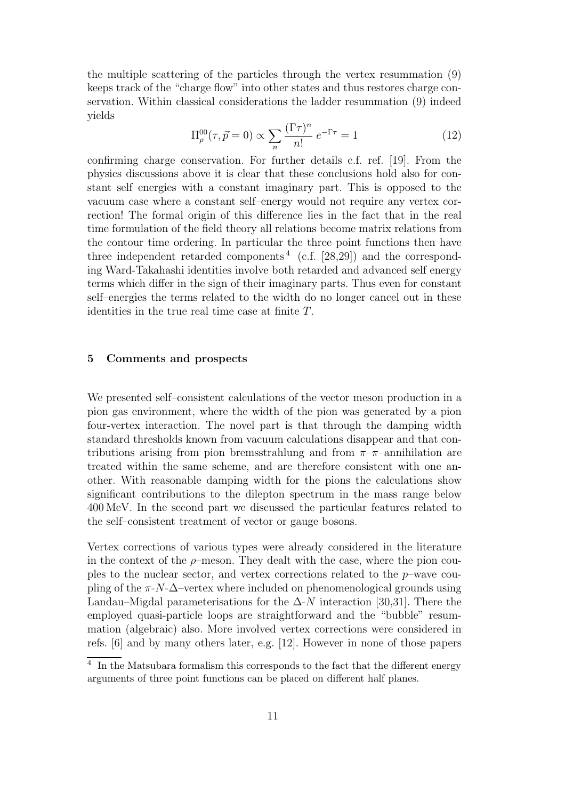the multiple scattering of the particles through the vertex resummation (9) keeps track of the "charge flow" into other states and thus restores charge conservation. Within classical considerations the ladder resummation (9) indeed yields

$$
\Pi_{\rho}^{00}(\tau,\vec{p}=0) \propto \sum_{n} \frac{(\Gamma \tau)^n}{n!} e^{-\Gamma \tau} = 1
$$
 (12)

confirming charge conservation. For further details c.f. ref. [19]. From the physics discussions above it is clear that these conclusions hold also for constant self–energies with a constant imaginary part. This is opposed to the vacuum case where a constant self–energy would not require any vertex correction! The formal origin of this difference lies in the fact that in the real time formulation of the field theory all relations become matrix relations from the contour time ordering. In particular the three point functions then have three independent retarded components<sup>4</sup> (c.f. [28,29]) and the corresponding Ward-Takahashi identities involve both retarded and advanced self energy terms which differ in the sign of their imaginary parts. Thus even for constant self–energies the terms related to the width do no longer cancel out in these identities in the true real time case at finite T.

#### 5 Comments and prospects

We presented self–consistent calculations of the vector meson production in a pion gas environment, where the width of the pion was generated by a pion four-vertex interaction. The novel part is that through the damping width standard thresholds known from vacuum calculations disappear and that contributions arising from pion bremsstrahlung and from  $\pi-\pi$ -annihilation are treated within the same scheme, and are therefore consistent with one another. With reasonable damping width for the pions the calculations show significant contributions to the dilepton spectrum in the mass range below 400 MeV. In the second part we discussed the particular features related to the self–consistent treatment of vector or gauge bosons.

Vertex corrections of various types were already considered in the literature in the context of the  $\rho$ -meson. They dealt with the case, where the pion couples to the nuclear sector, and vertex corrections related to the  $p$ –wave coupling of the  $\pi$ -N- $\Delta$ -vertex where included on phenomenological grounds using Landau–Migdal parameterisations for the  $\Delta$ -N interaction [30,31]. There the employed quasi-particle loops are straightforward and the "bubble" resummation (algebraic) also. More involved vertex corrections were considered in refs. [6] and by many others later, e.g. [12]. However in none of those papers

<sup>&</sup>lt;sup>4</sup> In the Matsubara formalism this corresponds to the fact that the different energy arguments of three point functions can be placed on different half planes.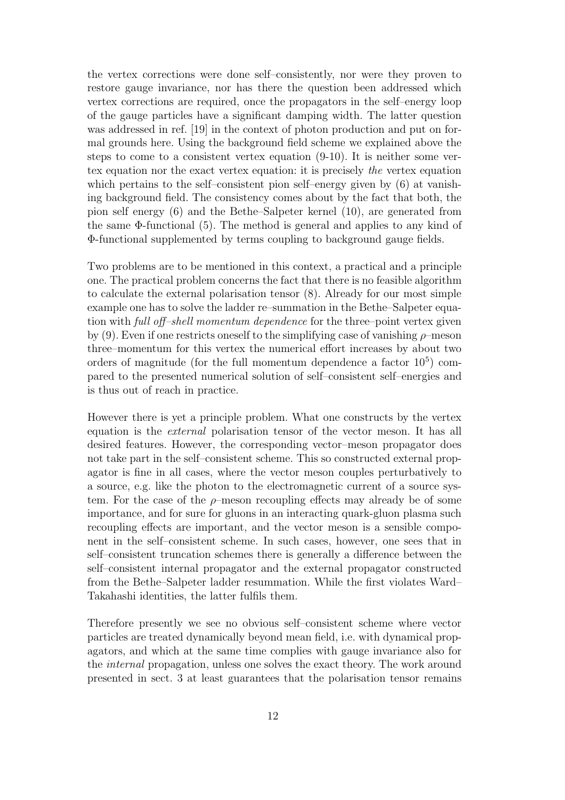the vertex corrections were done self–consistently, nor were they proven to restore gauge invariance, nor has there the question been addressed which vertex corrections are required, once the propagators in the self–energy loop of the gauge particles have a significant damping width. The latter question was addressed in ref. [19] in the context of photon production and put on formal grounds here. Using the background field scheme we explained above the steps to come to a consistent vertex equation (9-10). It is neither some vertex equation nor the exact vertex equation: it is precisely the vertex equation which pertains to the self–consistent pion self–energy given by (6) at vanishing background field. The consistency comes about by the fact that both, the pion self energy (6) and the Bethe–Salpeter kernel (10), are generated from the same  $\Phi$ -functional (5). The method is general and applies to any kind of Φ-functional supplemented by terms coupling to background gauge fields.

Two problems are to be mentioned in this context, a practical and a principle one. The practical problem concerns the fact that there is no feasible algorithm to calculate the external polarisation tensor (8). Already for our most simple example one has to solve the ladder re–summation in the Bethe–Salpeter equation with full off–shell momentum dependence for the three–point vertex given by (9). Even if one restricts oneself to the simplifying case of vanishing  $\rho$ -meson three–momentum for this vertex the numerical effort increases by about two orders of magnitude (for the full momentum dependence a factor  $10<sup>5</sup>$ ) compared to the presented numerical solution of self–consistent self–energies and is thus out of reach in practice.

However there is yet a principle problem. What one constructs by the vertex equation is the external polarisation tensor of the vector meson. It has all desired features. However, the corresponding vector–meson propagator does not take part in the self–consistent scheme. This so constructed external propagator is fine in all cases, where the vector meson couples perturbatively to a source, e.g. like the photon to the electromagnetic current of a source system. For the case of the  $\rho$ -meson recoupling effects may already be of some importance, and for sure for gluons in an interacting quark-gluon plasma such recoupling effects are important, and the vector meson is a sensible component in the self–consistent scheme. In such cases, however, one sees that in self–consistent truncation schemes there is generally a difference between the self–consistent internal propagator and the external propagator constructed from the Bethe–Salpeter ladder resummation. While the first violates Ward– Takahashi identities, the latter fulfils them.

Therefore presently we see no obvious self–consistent scheme where vector particles are treated dynamically beyond mean field, i.e. with dynamical propagators, and which at the same time complies with gauge invariance also for the internal propagation, unless one solves the exact theory. The work around presented in sect. 3 at least guarantees that the polarisation tensor remains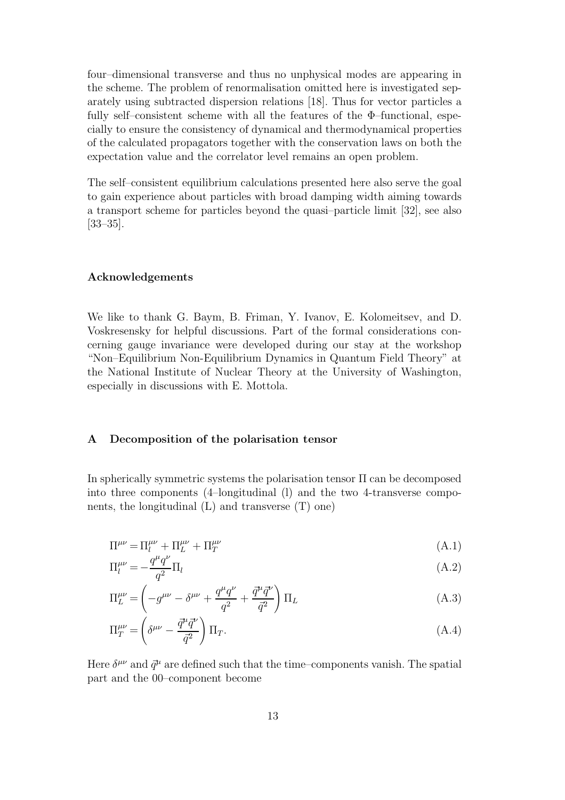four–dimensional transverse and thus no unphysical modes are appearing in the scheme. The problem of renormalisation omitted here is investigated separately using subtracted dispersion relations [18]. Thus for vector particles a fully self–consistent scheme with all the features of the  $\Phi$ –functional, especially to ensure the consistency of dynamical and thermodynamical properties of the calculated propagators together with the conservation laws on both the expectation value and the correlator level remains an open problem.

The self–consistent equilibrium calculations presented here also serve the goal to gain experience about particles with broad damping width aiming towards a transport scheme for particles beyond the quasi–particle limit [32], see also [33–35].

### Acknowledgements

We like to thank G. Baym, B. Friman, Y. Ivanov, E. Kolomeitsev, and D. Voskresensky for helpful discussions. Part of the formal considerations concerning gauge invariance were developed during our stay at the workshop "Non–Equilibrium Non-Equilibrium Dynamics in Quantum Field Theory" at the National Institute of Nuclear Theory at the University of Washington, especially in discussions with E. Mottola.

#### A Decomposition of the polarisation tensor

In spherically symmetric systems the polarisation tensor Π can be decomposed into three components (4–longitudinal (l) and the two 4-transverse components, the longitudinal  $(L)$  and transverse  $(T)$  one)

$$
\Pi^{\mu\nu} = \Pi^{\mu\nu}_l + \Pi^{\mu\nu}_L + \Pi^{\mu\nu}_T \tag{A.1}
$$
\n
$$
\Pi^{\mu\nu} = q^{\mu}q^{\nu}\Pi \tag{A.2}
$$

$$
\Pi_l^{\mu\nu} = -\frac{q^\mu q^\nu}{q^2} \Pi_l \tag{A.2}
$$

$$
\Pi_L^{\mu\nu} = \left(-g^{\mu\nu} - \delta^{\mu\nu} + \frac{q^{\mu}q^{\nu}}{q^2} + \frac{\vec{q}^{\mu}\vec{q}^{\nu}}{\vec{q}^2}\right)\Pi_L
$$
\n(A.3)

$$
\Pi_T^{\mu\nu} = \left(\delta^{\mu\nu} - \frac{\vec{q}^\mu \vec{q}^\nu}{\vec{q}^2}\right) \Pi_T. \tag{A.4}
$$

Here  $\delta^{\mu\nu}$  and  $\vec{q}^{\mu}$  are defined such that the time-components vanish. The spatial part and the 00–component become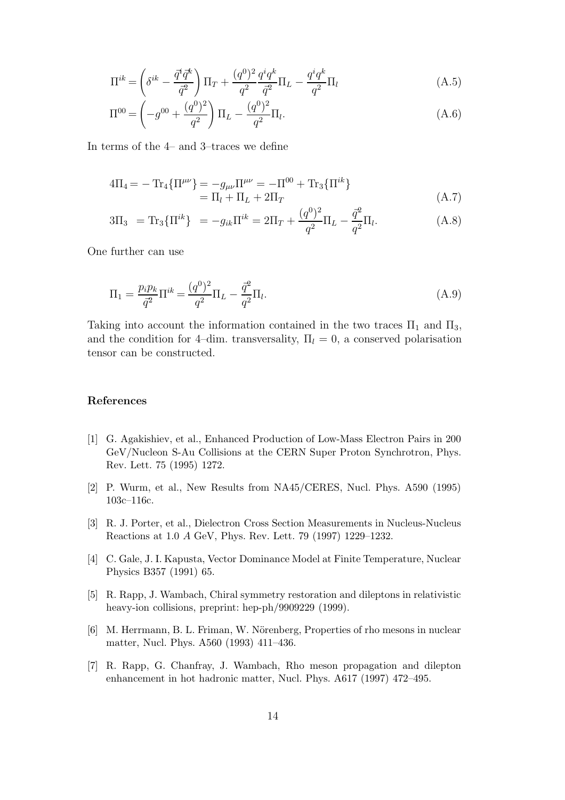$$
\Pi^{ik} = \left(\delta^{ik} - \frac{\vec{q}^i \vec{q}^k}{\vec{q}^2}\right) \Pi_T + \frac{(q^0)^2}{q^2} \frac{q^i q^k}{\vec{q}^2} \Pi_L - \frac{q^i q^k}{q^2} \Pi_l
$$
\n(A.5)

$$
\Pi^{00} = \left(-g^{00} + \frac{(q^0)^2}{q^2}\right) \Pi_L - \frac{(q^0)^2}{q^2} \Pi_l.
$$
\n(A.6)

In terms of the 4– and 3–traces we define

$$
4\Pi_4 = -\operatorname{Tr}_4{\{\Pi^{\mu\nu}\}} = -g_{\mu\nu}\Pi^{\mu\nu} = -\Pi^{00} + \operatorname{Tr}_3{\{\Pi^{ik}\}}
$$
  
=  $\Pi_l + \Pi_L + 2\Pi_T$  (A.7)

$$
3\Pi_3 = \text{Tr}_3\{\Pi^{ik}\} = -g_{ik}\Pi^{ik} = 2\Pi_T + \frac{(q^0)^2}{q^2}\Pi_L - \frac{\vec{q}^2}{q^2}\Pi_l.
$$
 (A.8)

One further can use

$$
\Pi_1 = \frac{p_i p_k}{\bar{q}^2} \Pi^{ik} = \frac{(q^0)^2}{q^2} \Pi_L - \frac{\bar{q}^2}{q^2} \Pi_l.
$$
\n(A.9)

Taking into account the information contained in the two traces  $\Pi_1$  and  $\Pi_3$ , and the condition for 4–dim. transversality,  $\Pi_l = 0$ , a conserved polarisation tensor can be constructed.

# References

- [1] G. Agakishiev, et al., Enhanced Production of Low-Mass Electron Pairs in 200 GeV/Nucleon S-Au Collisions at the CERN Super Proton Synchrotron, Phys. Rev. Lett. 75 (1995) 1272.
- [2] P. Wurm, et al., New Results from NA45/CERES, Nucl. Phys. A590 (1995) 103c–116c.
- [3] R. J. Porter, et al., Dielectron Cross Section Measurements in Nucleus-Nucleus Reactions at 1.0 A GeV, Phys. Rev. Lett. 79 (1997) 1229–1232.
- [4] C. Gale, J. I. Kapusta, Vector Dominance Model at Finite Temperature, Nuclear Physics B357 (1991) 65.
- [5] R. Rapp, J. Wambach, Chiral symmetry restoration and dileptons in relativistic heavy-ion collisions, preprint: hep-ph/9909229 (1999).
- [6] M. Herrmann, B. L. Friman, W. Nörenberg, Properties of rho mesons in nuclear matter, Nucl. Phys. A560 (1993) 411–436.
- [7] R. Rapp, G. Chanfray, J. Wambach, Rho meson propagation and dilepton enhancement in hot hadronic matter, Nucl. Phys. A617 (1997) 472–495.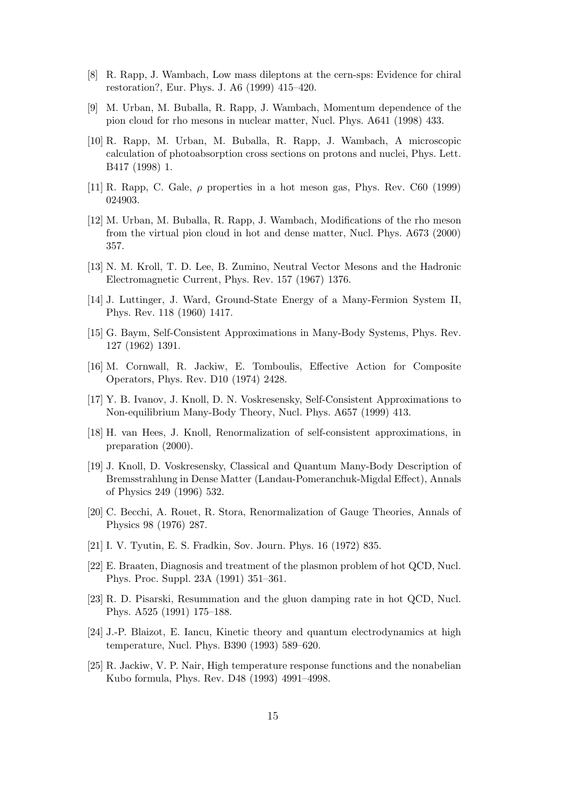- [8] R. Rapp, J. Wambach, Low mass dileptons at the cern-sps: Evidence for chiral restoration?, Eur. Phys. J. A6 (1999) 415–420.
- [9] M. Urban, M. Buballa, R. Rapp, J. Wambach, Momentum dependence of the pion cloud for rho mesons in nuclear matter, Nucl. Phys. A641 (1998) 433.
- [10] R. Rapp, M. Urban, M. Buballa, R. Rapp, J. Wambach, A microscopic calculation of photoabsorption cross sections on protons and nuclei, Phys. Lett. B417 (1998) 1.
- [11] R. Rapp, C. Gale,  $\rho$  properties in a hot meson gas, Phys. Rev. C60 (1999) 024903.
- [12] M. Urban, M. Buballa, R. Rapp, J. Wambach, Modifications of the rho meson from the virtual pion cloud in hot and dense matter, Nucl. Phys. A673 (2000) 357.
- [13] N. M. Kroll, T. D. Lee, B. Zumino, Neutral Vector Mesons and the Hadronic Electromagnetic Current, Phys. Rev. 157 (1967) 1376.
- [14] J. Luttinger, J. Ward, Ground-State Energy of a Many-Fermion System II, Phys. Rev. 118 (1960) 1417.
- [15] G. Baym, Self-Consistent Approximations in Many-Body Systems, Phys. Rev. 127 (1962) 1391.
- [16] M. Cornwall, R. Jackiw, E. Tomboulis, Effective Action for Composite Operators, Phys. Rev. D10 (1974) 2428.
- [17] Y. B. Ivanov, J. Knoll, D. N. Voskresensky, Self-Consistent Approximations to Non-equilibrium Many-Body Theory, Nucl. Phys. A657 (1999) 413.
- [18] H. van Hees, J. Knoll, Renormalization of self-consistent approximations, in preparation (2000).
- [19] J. Knoll, D. Voskresensky, Classical and Quantum Many-Body Description of Bremsstrahlung in Dense Matter (Landau-Pomeranchuk-Migdal Effect), Annals of Physics 249 (1996) 532.
- [20] C. Becchi, A. Rouet, R. Stora, Renormalization of Gauge Theories, Annals of Physics 98 (1976) 287.
- [21] I. V. Tyutin, E. S. Fradkin, Sov. Journ. Phys. 16 (1972) 835.
- [22] E. Braaten, Diagnosis and treatment of the plasmon problem of hot QCD, Nucl. Phys. Proc. Suppl. 23A (1991) 351–361.
- [23] R. D. Pisarski, Resummation and the gluon damping rate in hot QCD, Nucl. Phys. A525 (1991) 175–188.
- [24] J.-P. Blaizot, E. Iancu, Kinetic theory and quantum electrodynamics at high temperature, Nucl. Phys. B390 (1993) 589–620.
- [25] R. Jackiw, V. P. Nair, High temperature response functions and the nonabelian Kubo formula, Phys. Rev. D48 (1993) 4991–4998.